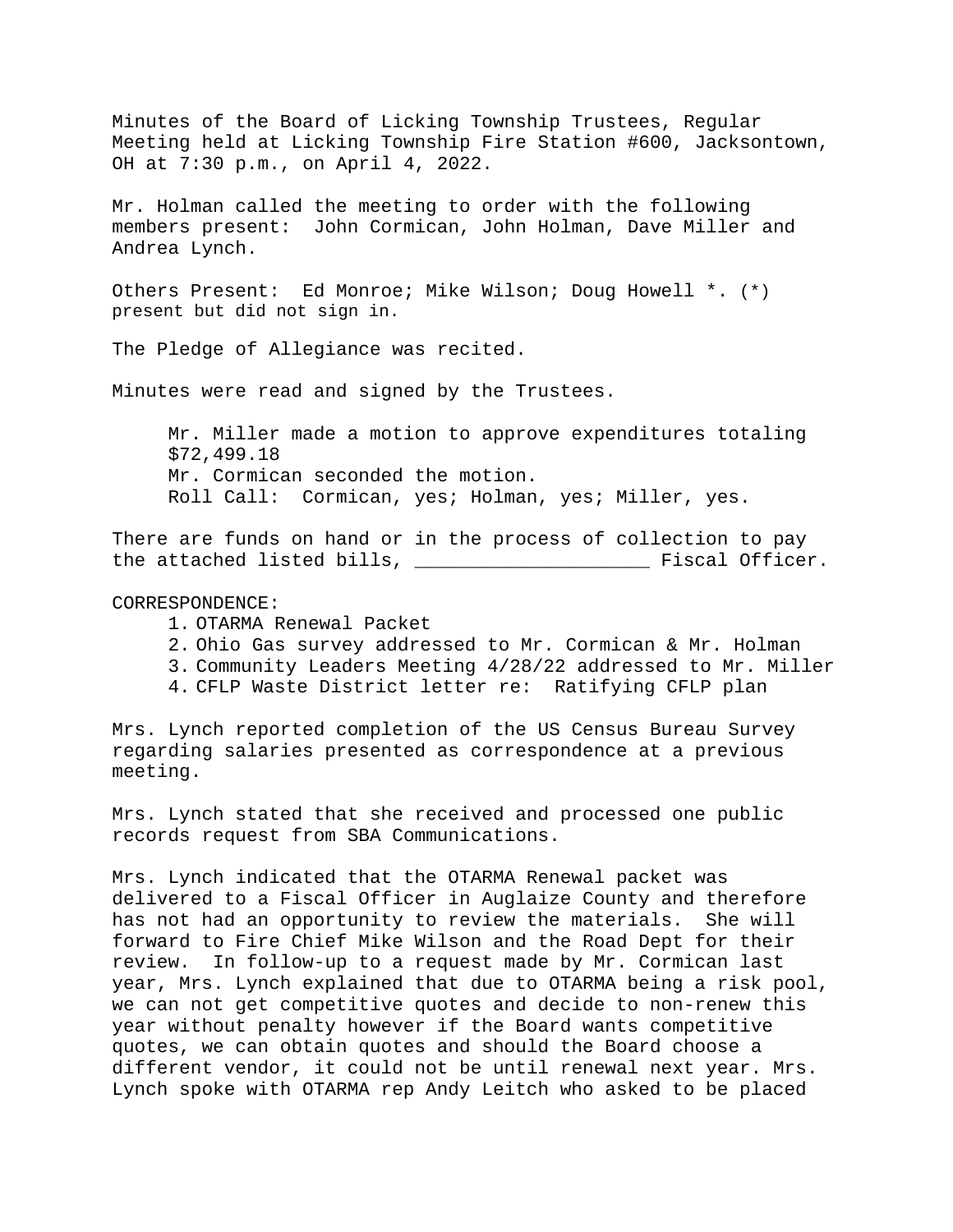Minutes of the Board of Licking Township Trustees, Regular Meeting held at Licking Township Fire Station #600, Jacksontown, OH at 7:30 p.m., on April 4, 2022.

Mr. Holman called the meeting to order with the following members present: John Cormican, John Holman, Dave Miller and Andrea Lynch.

Others Present: Ed Monroe; Mike Wilson; Doug Howell \*. (\*) present but did not sign in.

The Pledge of Allegiance was recited.

Minutes were read and signed by the Trustees.

Mr. Miller made a motion to approve expenditures totaling \$72,499.18 Mr. Cormican seconded the motion. Roll Call: Cormican, yes; Holman, yes; Miller, yes.

There are funds on hand or in the process of collection to pay the attached listed bills, \_\_\_\_\_\_\_\_\_\_\_\_\_\_\_\_\_\_\_\_\_ Fiscal Officer.

## CORRESPONDENCE:

- 1. OTARMA Renewal Packet
- 2. Ohio Gas survey addressed to Mr. Cormican & Mr. Holman
- 3. Community Leaders Meeting 4/28/22 addressed to Mr. Miller
- 4. CFLP Waste District letter re: Ratifying CFLP plan

Mrs. Lynch reported completion of the US Census Bureau Survey regarding salaries presented as correspondence at a previous meeting.

Mrs. Lynch stated that she received and processed one public records request from SBA Communications.

Mrs. Lynch indicated that the OTARMA Renewal packet was delivered to a Fiscal Officer in Auglaize County and therefore has not had an opportunity to review the materials. She will forward to Fire Chief Mike Wilson and the Road Dept for their review. In follow-up to a request made by Mr. Cormican last year, Mrs. Lynch explained that due to OTARMA being a risk pool, we can not get competitive quotes and decide to non-renew this year without penalty however if the Board wants competitive quotes, we can obtain quotes and should the Board choose a different vendor, it could not be until renewal next year. Mrs. Lynch spoke with OTARMA rep Andy Leitch who asked to be placed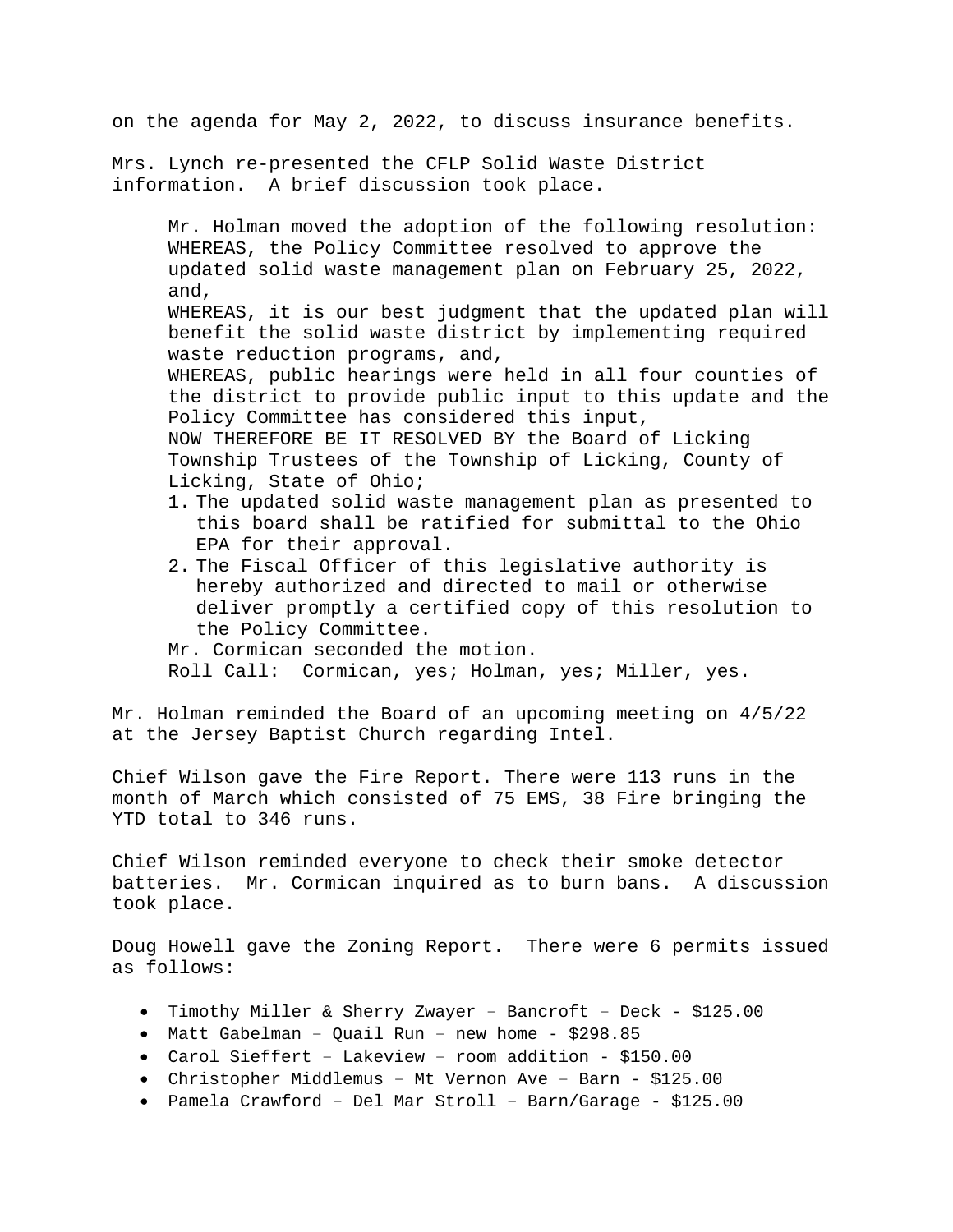on the agenda for May 2, 2022, to discuss insurance benefits.

Mrs. Lynch re-presented the CFLP Solid Waste District information. A brief discussion took place.

Mr. Holman moved the adoption of the following resolution: WHEREAS, the Policy Committee resolved to approve the updated solid waste management plan on February 25, 2022, and, WHEREAS, it is our best judgment that the updated plan will benefit the solid waste district by implementing required waste reduction programs, and, WHEREAS, public hearings were held in all four counties of the district to provide public input to this update and the Policy Committee has considered this input, NOW THEREFORE BE IT RESOLVED BY the Board of Licking Township Trustees of the Township of Licking, County of Licking, State of Ohio;

- 1. The updated solid waste management plan as presented to this board shall be ratified for submittal to the Ohio EPA for their approval.
- 2. The Fiscal Officer of this legislative authority is hereby authorized and directed to mail or otherwise deliver promptly a certified copy of this resolution to the Policy Committee.

Mr. Cormican seconded the motion. Roll Call: Cormican, yes; Holman, yes; Miller, yes.

Mr. Holman reminded the Board of an upcoming meeting on 4/5/22 at the Jersey Baptist Church regarding Intel.

Chief Wilson gave the Fire Report. There were 113 runs in the month of March which consisted of 75 EMS, 38 Fire bringing the YTD total to 346 runs.

Chief Wilson reminded everyone to check their smoke detector batteries. Mr. Cormican inquired as to burn bans. A discussion took place.

Doug Howell gave the Zoning Report. There were 6 permits issued as follows:

- Timothy Miller & Sherry Zwayer Bancroft Deck \$125.00
- Matt Gabelman Quail Run new home \$298.85
- Carol Sieffert Lakeview room addition \$150.00
- Christopher Middlemus Mt Vernon Ave Barn \$125.00
- Pamela Crawford Del Mar Stroll Barn/Garage \$125.00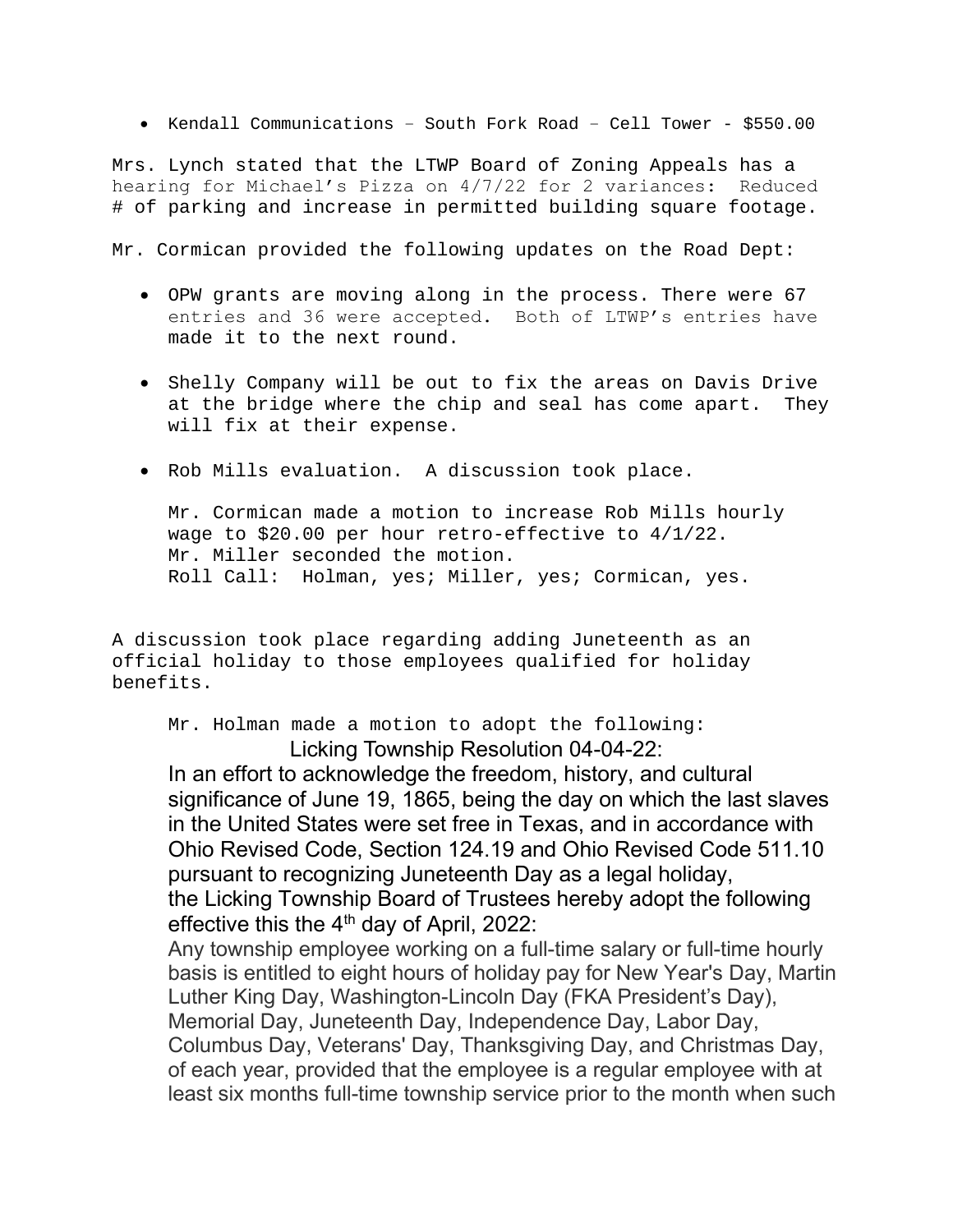• Kendall Communications – South Fork Road – Cell Tower - \$550.00

Mrs. Lynch stated that the LTWP Board of Zoning Appeals has a hearing for Michael's Pizza on 4/7/22 for 2 variances: Reduced # of parking and increase in permitted building square footage.

Mr. Cormican provided the following updates on the Road Dept:

- OPW grants are moving along in the process. There were 67 entries and 36 were accepted. Both of LTWP's entries have made it to the next round.
- Shelly Company will be out to fix the areas on Davis Drive at the bridge where the chip and seal has come apart. They will fix at their expense.
- Rob Mills evaluation. A discussion took place.

Mr. Cormican made a motion to increase Rob Mills hourly wage to \$20.00 per hour retro-effective to  $4/1/22$ . Mr. Miller seconded the motion. Roll Call: Holman, yes; Miller, yes; Cormican, yes.

A discussion took place regarding adding Juneteenth as an official holiday to those employees qualified for holiday benefits.

Mr. Holman made a motion to adopt the following: Licking Township Resolution 04-04-22:

In an effort to acknowledge the freedom, history, and cultural significance of June 19, 1865, being the day on which the last slaves in the United States were set free in Texas, and in accordance with Ohio Revised Code, Section 124.19 and Ohio Revised Code 511.10 pursuant to recognizing Juneteenth Day as a legal holiday, the Licking Township Board of Trustees hereby adopt the following effective this the  $4<sup>th</sup>$  day of April, 2022:

Any township employee working on a full-time salary or full-time hourly basis is entitled to eight hours of holiday pay for New Year's Day, Martin Luther King Day, Washington-Lincoln Day (FKA President's Day), Memorial Day, Juneteenth Day, Independence Day, Labor Day, Columbus Day, Veterans' Day, Thanksgiving Day, and Christmas Day, of each year, provided that the employee is a regular employee with at least six months full-time township service prior to the month when such